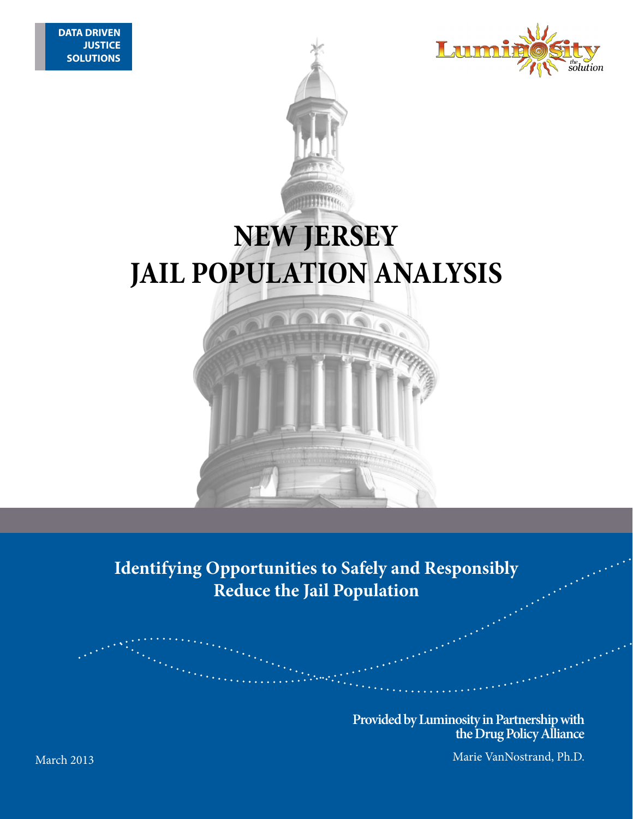

**Identifying Opportunities to Safely and Responsibly Reduce the Jail Population**

> **Provided by Luminosity in Partnership with the Drug Policy Alliance**

March 2013 Marie VanNostrand, Ph.D.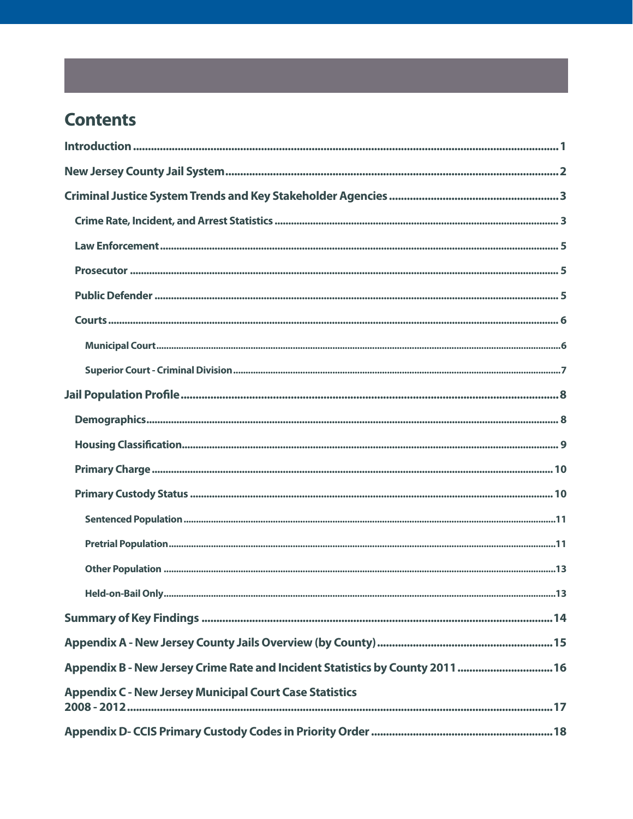### **Contents**

| Appendix B - New Jersey Crime Rate and Incident Statistics by County 2011  16 |  |
|-------------------------------------------------------------------------------|--|
| <b>Appendix C - New Jersey Municipal Court Case Statistics</b>                |  |
|                                                                               |  |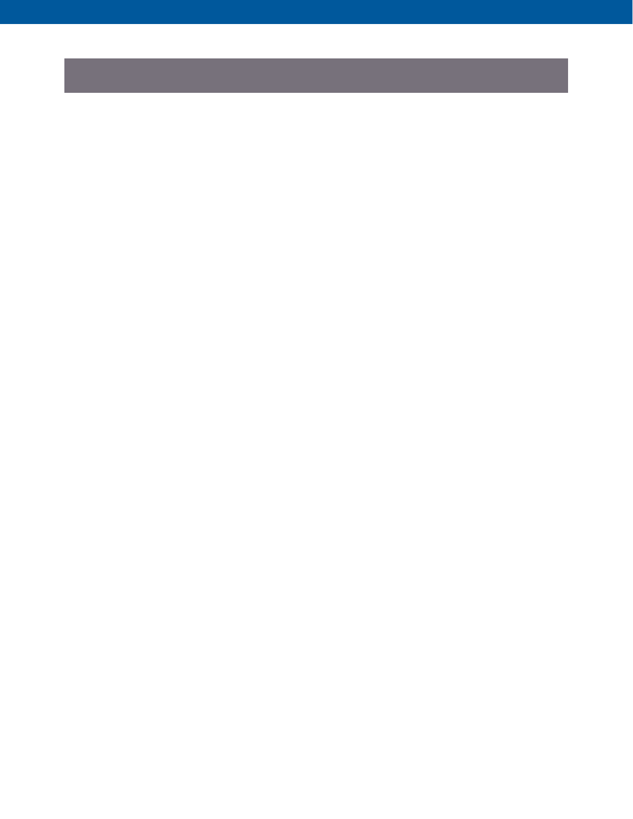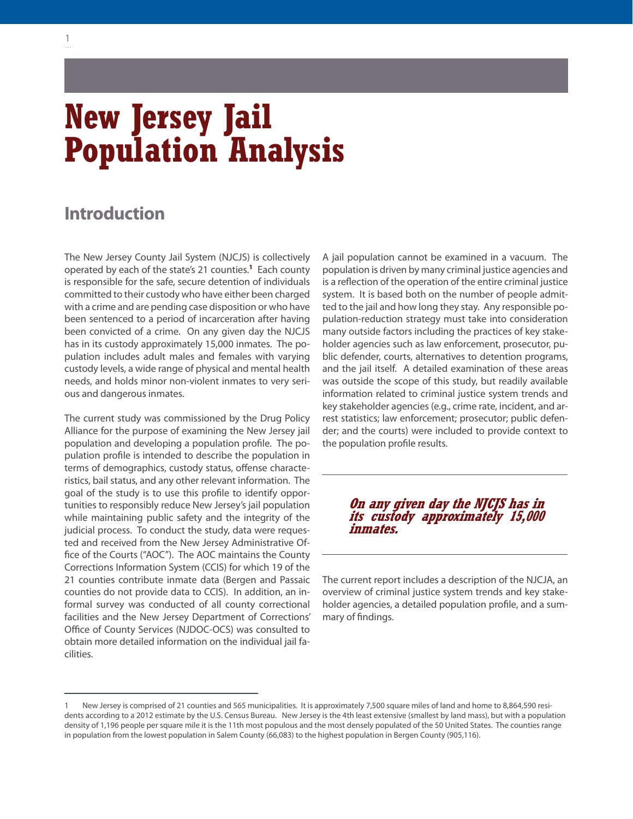# <span id="page-3-0"></span>**New Jersey Jail Population Analysis**

### **Introduction**

The New Jersey County Jail System (NJCJS) is collectively operated by each of the state's 21 counties.**<sup>1</sup>** Each county is responsible for the safe, secure detention of individuals committed to their custody who have either been charged with a crime and are pending case disposition or who have been sentenced to a period of incarceration after having been convicted of a crime. On any given day the NJCJS has in its custody approximately 15,000 inmates. The population includes adult males and females with varying custody levels, a wide range of physical and mental health needs, and holds minor non-violent inmates to very serious and dangerous inmates.

The current study was commissioned by the Drug Policy Alliance for the purpose of examining the New Jersey jail population and developing a population profile. The population profile is intended to describe the population in terms of demographics, custody status, offense characteristics, bail status, and any other relevant information. The goal of the study is to use this profile to identify opportunities to responsibly reduce New Jersey's jail population while maintaining public safety and the integrity of the judicial process. To conduct the study, data were requested and received from the New Jersey Administrative Office of the Courts ("AOC"). The AOC maintains the County Corrections Information System (CCIS) for which 19 of the 21 counties contribute inmate data (Bergen and Passaic counties do not provide data to CCIS). In addition, an informal survey was conducted of all county correctional facilities and the New Jersey Department of Corrections' Office of County Services (NJDOC-OCS) was consulted to obtain more detailed information on the individual jail facilities.

A jail population cannot be examined in a vacuum. The population is driven by many criminal justice agencies and is a reflection of the operation of the entire criminal justice system. It is based both on the number of people admitted to the jail and how long they stay. Any responsible population-reduction strategy must take into consideration many outside factors including the practices of key stakeholder agencies such as law enforcement, prosecutor, public defender, courts, alternatives to detention programs, and the jail itself. A detailed examination of these areas was outside the scope of this study, but readily available information related to criminal justice system trends and key stakeholder agencies (e.g., crime rate, incident, and arrest statistics; law enforcement; prosecutor; public defender; and the courts) were included to provide context to the population profile results.

#### **On any given day the NJCJS has in its custody approximately 15,000 inmates.**

The current report includes a description of the NJCJA, an overview of criminal justice system trends and key stakeholder agencies, a detailed population profile, and a summary of findings.

New Jersey is comprised of 21 counties and 565 municipalities. It is approximately 7,500 square miles of land and home to 8,864,590 residents according to a 2012 estimate by the U.S. Census Bureau. New Jersey is the 4th least extensive (smallest by land mass), but with a population density of 1,196 people per square mile it is the 11th most populous and the most densely populated of the 50 United States. The counties range in population from the lowest population in Salem County (66,083) to the highest population in Bergen County (905,116).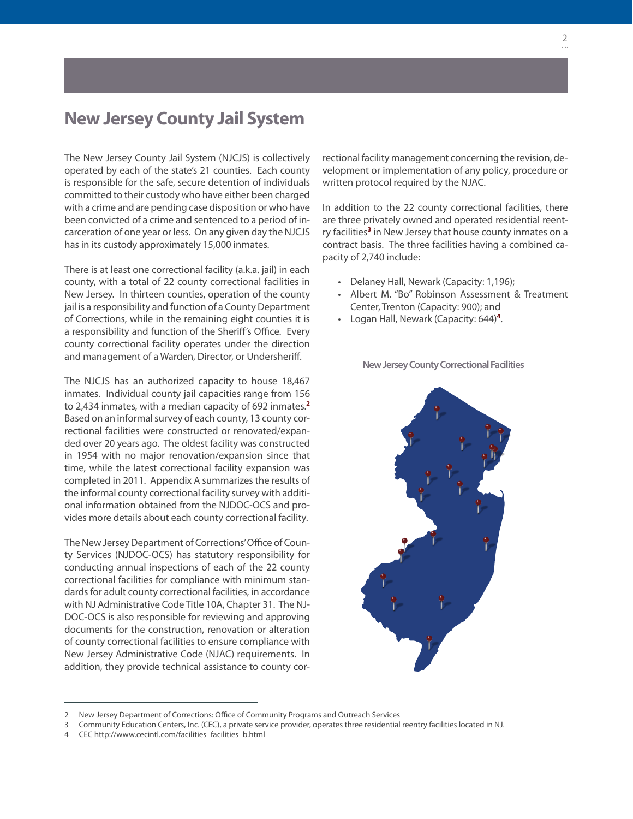### <span id="page-4-0"></span>**New Jersey County Jail System**

The New Jersey County Jail System (NJCJS) is collectively operated by each of the state's 21 counties. Each county is responsible for the safe, secure detention of individuals committed to their custody who have either been charged with a crime and are pending case disposition or who have been convicted of a crime and sentenced to a period of incarceration of one year or less. On any given day the NJCJS has in its custody approximately 15,000 inmates.

There is at least one correctional facility (a.k.a. jail) in each county, with a total of 22 county correctional facilities in New Jersey. In thirteen counties, operation of the county jail is a responsibility and function of a County Department of Corrections, while in the remaining eight counties it is a responsibility and function of the Sheriff's Office. Every county correctional facility operates under the direction and management of a Warden, Director, or Undersheriff.

The NJCJS has an authorized capacity to house 18,467 inmates. Individual county jail capacities range from 156 to 2,434 inmates, with a median capacity of 692 inmates.**<sup>2</sup>** Based on an informal survey of each county, 13 county correctional facilities were constructed or renovated/expanded over 20 years ago. The oldest facility was constructed in 1954 with no major renovation/expansion since that time, while the latest correctional facility expansion was completed in 2011. Appendix A summarizes the results of the informal county correctional facility survey with additional information obtained from the NJDOC-OCS and provides more details about each county correctional facility.

The New Jersey Department of Corrections' Office of County Services (NJDOC-OCS) has statutory responsibility for conducting annual inspections of each of the 22 county correctional facilities for compliance with minimum standards for adult county correctional facilities, in accordance with NJ Administrative Code Title 10A, Chapter 31. The NJ-DOC-OCS is also responsible for reviewing and approving documents for the construction, renovation or alteration of county correctional facilities to ensure compliance with New Jersey Administrative Code (NJAC) requirements. In addition, they provide technical assistance to county correctional facility management concerning the revision, development or implementation of any policy, procedure or written protocol required by the NJAC.

In addition to the 22 county correctional facilities, there are three privately owned and operated residential reentry facilities**<sup>3</sup>** in New Jersey that house county inmates on a contract basis. The three facilities having a combined capacity of 2,740 include:

- Delaney Hall, Newark (Capacity: 1,196);
- Albert M. "Bo" Robinson Assessment & Treatment Center, Trenton (Capacity: 900); and
- • Logan Hall, Newark (Capacity: 644)**<sup>4</sup>** .

**New Jersey County Correctional Facilities**



<sup>2</sup> New Jersey Department of Corrections: Office of Community Programs and Outreach Services

<sup>3</sup> Community Education Centers, Inc. (CEC), a private service provider, operates three residential reentry facilities located in NJ.

<sup>4</sup> CEC http://www.cecintl.com/facilities\_facilities\_b.html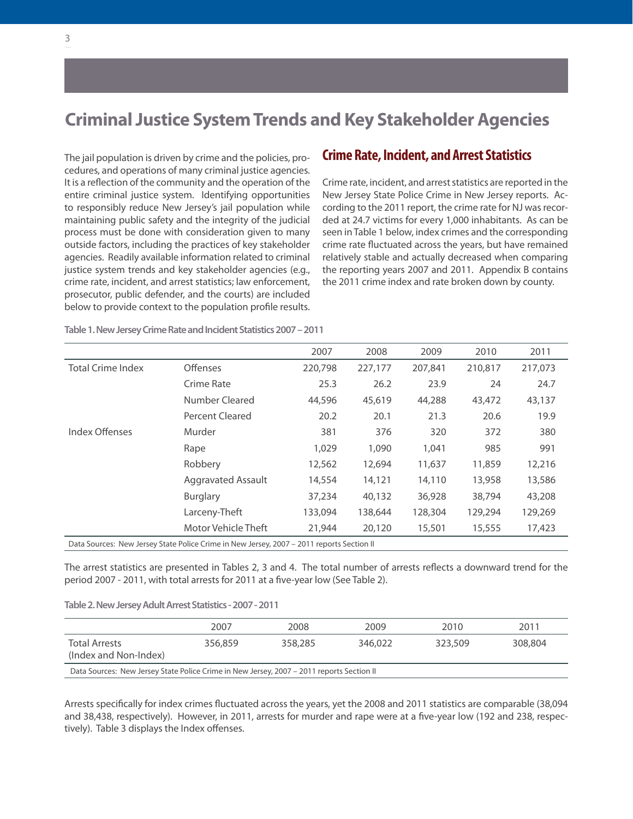### <span id="page-5-0"></span>**Criminal Justice System Trends and Key Stakeholder Agencies**

The jail population is driven by crime and the policies, procedures, and operations of many criminal justice agencies. It is a reflection of the community and the operation of the entire criminal justice system. Identifying opportunities to responsibly reduce New Jersey's jail population while maintaining public safety and the integrity of the judicial process must be done with consideration given to many outside factors, including the practices of key stakeholder agencies. Readily available information related to criminal justice system trends and key stakeholder agencies (e.g., crime rate, incident, and arrest statistics; law enforcement, prosecutor, public defender, and the courts) are included below to provide context to the population profile results.

#### **Crime Rate, Incident, and Arrest Statistics**

Crime rate, incident, and arrest statistics are reported in the New Jersey State Police Crime in New Jersey reports. According to the 2011 report, the crime rate for NJ was recorded at 24.7 victims for every 1,000 inhabitants. As can be seen in Table 1 below, index crimes and the corresponding crime rate fluctuated across the years, but have remained relatively stable and actually decreased when comparing the reporting years 2007 and 2011. Appendix B contains the 2011 crime index and rate broken down by county.

|                          |                                                                                           | 2007    | 2008    | 2009    | 2010    | 2011    |
|--------------------------|-------------------------------------------------------------------------------------------|---------|---------|---------|---------|---------|
| <b>Total Crime Index</b> | <b>Offenses</b>                                                                           | 220,798 | 227,177 | 207,841 | 210,817 | 217,073 |
|                          | Crime Rate                                                                                | 25.3    | 26.2    | 23.9    | 24      | 24.7    |
|                          | Number Cleared                                                                            | 44,596  | 45,619  | 44,288  | 43,472  | 43,137  |
|                          | Percent Cleared                                                                           | 20.2    | 20.1    | 21.3    | 20.6    | 19.9    |
| Index Offenses           | Murder                                                                                    | 381     | 376     | 320     | 372     | 380     |
|                          | Rape                                                                                      | 1,029   | 1,090   | 1,041   | 985     | 991     |
|                          | Robbery                                                                                   | 12,562  | 12,694  | 11,637  | 11,859  | 12,216  |
|                          | <b>Aggravated Assault</b>                                                                 | 14,554  | 14,121  | 14,110  | 13,958  | 13,586  |
|                          | Burglary                                                                                  | 37,234  | 40,132  | 36,928  | 38,794  | 43,208  |
|                          | Larceny-Theft                                                                             | 133,094 | 138,644 | 128,304 | 129,294 | 129,269 |
|                          | Motor Vehicle Theft                                                                       | 21,944  | 20,120  | 15,501  | 15,555  | 17,423  |
|                          | Data Sources: New Jersey State Police Crime in New Jersey, 2007 – 2011 reports Section II |         |         |         |         |         |

**Table 1. New Jersey Crime Rate and Incident Statistics 2007 – 2011**

The arrest statistics are presented in Tables 2, 3 and 4. The total number of arrests reflects a downward trend for the period 2007 - 2011, with total arrests for 2011 at a five-year low (See Table 2).

**Table 2. New Jersey Adult Arrest Statistics - 2007 - 2011**

|                                                                                           | 2007    | 2008    | 2009    | 2010    | 2011    |
|-------------------------------------------------------------------------------------------|---------|---------|---------|---------|---------|
| <b>Total Arrests</b><br>(Index and Non-Index)                                             | 356,859 | 358,285 | 346.022 | 323,509 | 308,804 |
| Data Sources: New Jersey State Police Crime in New Jersey, 2007 – 2011 reports Section II |         |         |         |         |         |

Arrests specifically for index crimes fluctuated across the years, yet the 2008 and 2011 statistics are comparable (38,094 and 38,438, respectively). However, in 2011, arrests for murder and rape were at a five-year low (192 and 238, respectively). Table 3 displays the Index offenses.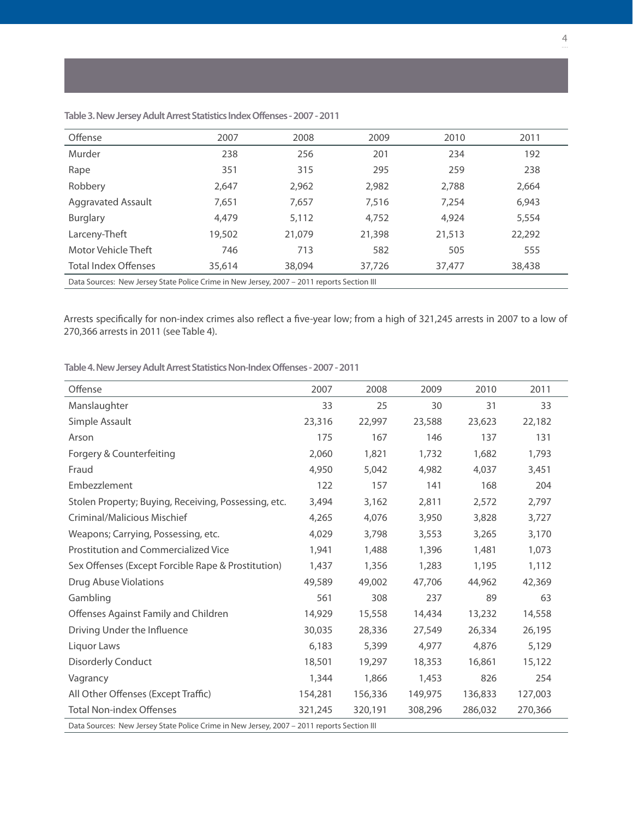| Offense                     | 2007                                                                                       | 2008   | 2009   | 2010   | 2011   |  |
|-----------------------------|--------------------------------------------------------------------------------------------|--------|--------|--------|--------|--|
| Murder                      | 238                                                                                        | 256    | 201    | 234    | 192    |  |
| Rape                        | 351                                                                                        | 315    | 295    | 259    | 238    |  |
| Robbery                     | 2,647                                                                                      | 2,962  | 2,982  | 2,788  | 2,664  |  |
| <b>Aggravated Assault</b>   | 7,651                                                                                      | 7,657  | 7,516  | 7,254  | 6,943  |  |
| Burglary                    | 4,479                                                                                      | 5,112  | 4,752  | 4,924  | 5,554  |  |
| Larceny-Theft               | 19,502                                                                                     | 21,079 | 21,398 | 21,513 | 22,292 |  |
| Motor Vehicle Theft         | 746                                                                                        | 713    | 582    | 505    | 555    |  |
| <b>Total Index Offenses</b> | 35,614                                                                                     | 38,094 | 37,726 | 37,477 | 38,438 |  |
|                             | Data Sources: New Jersey State Police Crime in New Jersey, 2007 - 2011 reports Section III |        |        |        |        |  |

**Table 3. New Jersey Adult Arrest Statistics Index Offenses - 2007 - 2011**

Arrests specifically for non-index crimes also reflect a five-year low; from a high of 321,245 arrests in 2007 to a low of 270,366 arrests in 2011 (see Table 4).

**Table 4. New Jersey Adult Arrest Statistics Non-Index Offenses - 2007 - 2011**

| Offense                                                                                    | 2007    | 2008    | 2009    | 2010    | 2011    |  |
|--------------------------------------------------------------------------------------------|---------|---------|---------|---------|---------|--|
| Manslaughter                                                                               | 33      | 25      | 30      | 31      | 33      |  |
| Simple Assault                                                                             | 23,316  | 22,997  | 23,588  | 23,623  | 22,182  |  |
| Arson                                                                                      | 175     | 167     | 146     | 137     | 131     |  |
| Forgery & Counterfeiting                                                                   | 2,060   | 1,821   | 1,732   | 1,682   | 1,793   |  |
| Fraud                                                                                      | 4,950   | 5,042   | 4,982   | 4,037   | 3,451   |  |
| Embezzlement                                                                               | 122     | 157     | 141     | 168     | 204     |  |
| Stolen Property; Buying, Receiving, Possessing, etc.                                       | 3,494   | 3,162   | 2,811   | 2,572   | 2,797   |  |
| Criminal/Malicious Mischief                                                                | 4,265   | 4,076   | 3,950   | 3,828   | 3,727   |  |
| Weapons; Carrying, Possessing, etc.                                                        | 4,029   | 3,798   | 3,553   | 3,265   | 3,170   |  |
| <b>Prostitution and Commercialized Vice</b>                                                | 1,941   | 1,488   | 1,396   | 1,481   | 1,073   |  |
| Sex Offenses (Except Forcible Rape & Prostitution)                                         | 1,437   | 1,356   | 1,283   | 1,195   | 1,112   |  |
| <b>Drug Abuse Violations</b>                                                               | 49,589  | 49,002  | 47,706  | 44,962  | 42,369  |  |
| Gambling                                                                                   | 561     | 308     | 237     | 89      | 63      |  |
| Offenses Against Family and Children                                                       | 14,929  | 15,558  | 14,434  | 13,232  | 14,558  |  |
| Driving Under the Influence                                                                | 30,035  | 28,336  | 27,549  | 26,334  | 26,195  |  |
| Liquor Laws                                                                                | 6,183   | 5,399   | 4,977   | 4,876   | 5,129   |  |
| <b>Disorderly Conduct</b>                                                                  | 18,501  | 19,297  | 18,353  | 16,861  | 15,122  |  |
| Vagrancy                                                                                   | 1,344   | 1,866   | 1,453   | 826     | 254     |  |
| All Other Offenses (Except Traffic)                                                        | 154,281 | 156,336 | 149,975 | 136,833 | 127,003 |  |
| <b>Total Non-index Offenses</b>                                                            | 321,245 | 320,191 | 308,296 | 286,032 | 270,366 |  |
| Data Sources: New Jersey State Police Crime in New Jersey, 2007 - 2011 reports Section III |         |         |         |         |         |  |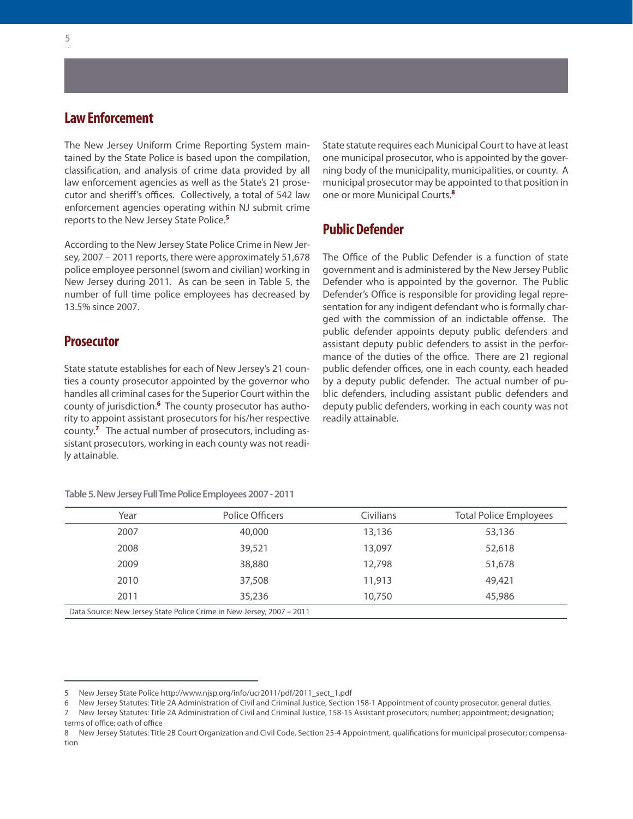#### <span id="page-7-0"></span>**Law Enforcement**

The New Jersey Uniform Crime Reporting System maintained by the State Police is based upon the compilation, classification, and analysis of crime data provided by all law enforcement agencies as well as the State's 21 prosecutor and sheriff's offices. Collectively, a total of 542 law enforcement agencies operating within NJ submit crime reports to the New Jersey State Police.**<sup>5</sup>**

According to the New Jersey State Police Crime in New Jersey, 2007 – 2011 reports, there were approximately 51,678 police employee personnel (sworn and civilian) working in New Jersey during 2011. As can be seen in Table 5, the number of full time police employees has decreased by 13.5% since 2007.

#### **Prosecutor**

State statute establishes for each of New Jersey's 21 counties a county prosecutor appointed by the governor who handles all criminal cases for the Superior Court within the county of jurisdiction.**<sup>6</sup>** The county prosecutor has authority to appoint assistant prosecutors for his/her respective county.**<sup>7</sup>** The actual number of prosecutors, including assistant prosecutors, working in each county was not readily attainable.

one municipal prosecutor, who is appointed by the governing body of the municipality, municipalities, or county. A municipal prosecutor may be appointed to that position in one or more Municipal Courts.**<sup>8</sup>**

State statute requires each Municipal Court to have at least

#### **Public Defender**

The Office of the Public Defender is a function of state government and is administered by the New Jersey Public Defender who is appointed by the governor. The Public Defender's Office is responsible for providing legal representation for any indigent defendant who is formally charged with the commission of an indictable offense. The public defender appoints deputy public defenders and assistant deputy public defenders to assist in the performance of the duties of the office. There are 21 regional public defender offices, one in each county, each headed by a deputy public defender. The actual number of public defenders, including assistant public defenders and deputy public defenders, working in each county was not readily attainable.

| Table 5. INEW JEISEY FUILITIE FUILE LITIPIOYEES 2007 - 2011 |  |
|-------------------------------------------------------------|--|
|                                                             |  |

**Table 5. New Jersey Full Tme Police Employees 2007 - 2011**

| Year | Police Officers                                                       | Civilians | <b>Total Police Employees</b> |
|------|-----------------------------------------------------------------------|-----------|-------------------------------|
| 2007 | 40,000                                                                | 13,136    | 53,136                        |
| 2008 | 39,521                                                                | 13,097    | 52,618                        |
| 2009 | 38,880                                                                | 12,798    | 51,678                        |
| 2010 | 37,508                                                                | 11,913    | 49,421                        |
| 2011 | 35,236                                                                | 10,750    | 45,986                        |
|      | Data Source: New Jersey State Police Crime in New Jersey, 2007 - 2011 |           |                               |

<sup>5</sup> New Jersey State Police http://www.njsp.org/info/ucr2011/pdf/2011\_sect\_1.pdf

<sup>6</sup> New Jersey Statutes: Title 2A Administration of Civil and Criminal Justice, Section 158-1 Appointment of county prosecutor, general duties.

<sup>7</sup> New Jersey Statutes: Title 2A Administration of Civil and Criminal Justice, 158-15 Assistant prosecutors; number; appointment; designation; terms of office; oath of office

<sup>8</sup> New Jersey Statutes: Title 2B Court Organization and Civil Code, Section 25-4 Appointment, qualifications for municipal prosecutor; compensation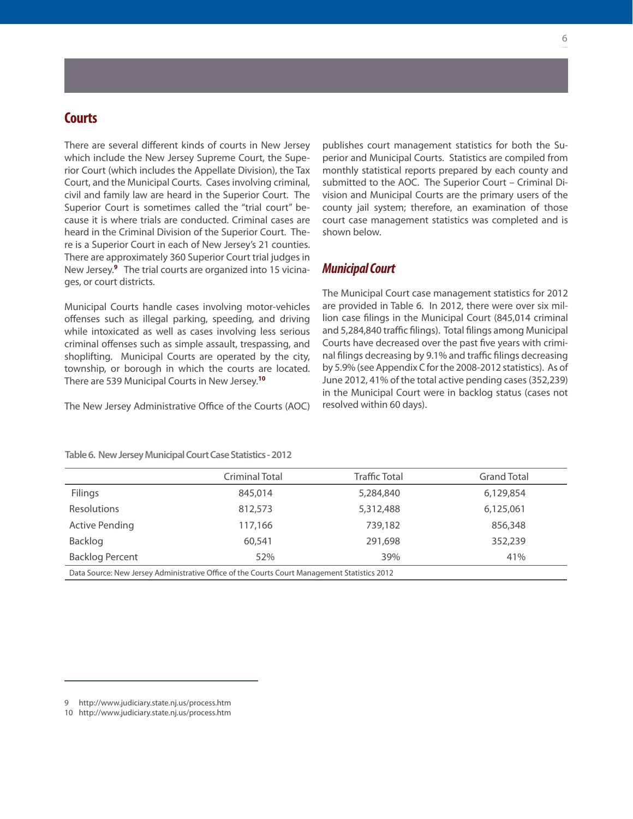#### <span id="page-8-0"></span>**Courts**

There are several different kinds of courts in New Jersey which include the New Jersey Supreme Court, the Superior Court (which includes the Appellate Division), the Tax Court, and the Municipal Courts. Cases involving criminal, civil and family law are heard in the Superior Court. The Superior Court is sometimes called the "trial court" because it is where trials are conducted. Criminal cases are heard in the Criminal Division of the Superior Court. There is a Superior Court in each of New Jersey's 21 counties. There are approximately 360 Superior Court trial judges in New Jersey.**<sup>9</sup>** The trial courts are organized into 15 vicinages, or court districts.

Municipal Courts handle cases involving motor-vehicles offenses such as illegal parking, speeding, and driving while intoxicated as well as cases involving less serious criminal offenses such as simple assault, trespassing, and shoplifting. Municipal Courts are operated by the city, township, or borough in which the courts are located. There are 539 Municipal Courts in New Jersey.**<sup>10</sup>**

The New Jersey Administrative Office of the Courts (AOC)

publishes court management statistics for both the Superior and Municipal Courts. Statistics are compiled from monthly statistical reports prepared by each county and submitted to the AOC. The Superior Court – Criminal Division and Municipal Courts are the primary users of the county jail system; therefore, an examination of those court case management statistics was completed and is shown below.

#### *Municipal Court*

The Municipal Court case management statistics for 2012 are provided in Table 6. In 2012, there were over six million case filings in the Municipal Court (845,014 criminal and 5,284,840 traffic filings). Total filings among Municipal Courts have decreased over the past five years with criminal filings decreasing by 9.1% and traffic filings decreasing by 5.9% (see Appendix C for the 2008-2012 statistics). As of June 2012, 41% of the total active pending cases (352,239) in the Municipal Court were in backlog status (cases not resolved within 60 days).

#### **Table 6. New Jersey Municipal Court Case Statistics - 2012**

|                        | <b>Criminal Total</b>                                                                        | <b>Traffic Total</b> | <b>Grand Total</b> |
|------------------------|----------------------------------------------------------------------------------------------|----------------------|--------------------|
| Filings                | 845,014                                                                                      | 5,284,840            | 6,129,854          |
| <b>Resolutions</b>     | 812,573                                                                                      | 5,312,488            | 6,125,061          |
| <b>Active Pending</b>  | 117,166                                                                                      | 739,182              | 856,348            |
| Backlog                | 60,541                                                                                       | 291,698              | 352,239            |
| <b>Backlog Percent</b> | 52%                                                                                          | 39%                  | 41%                |
|                        | Data Source: New Jersey Administrative Office of the Courts Court Management Statistics 2012 |                      |                    |

<sup>9</sup> http://www.judiciary.state.nj.us/process.htm

<sup>10</sup> http://www.judiciary.state.nj.us/process.htm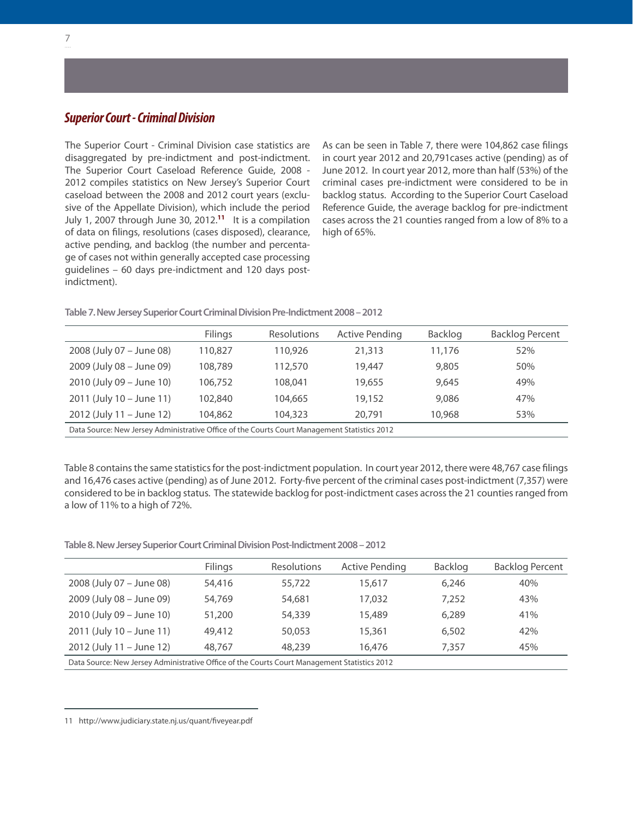#### <span id="page-9-0"></span>*Superior Court - Criminal Division*

The Superior Court - Criminal Division case statistics are disaggregated by pre-indictment and post-indictment. The Superior Court Caseload Reference Guide, 2008 - 2012 compiles statistics on New Jersey's Superior Court caseload between the 2008 and 2012 court years (exclusive of the Appellate Division), which include the period July 1, 2007 through June 30, 2012.**<sup>11</sup>** It is a compilation of data on filings, resolutions (cases disposed), clearance, active pending, and backlog (the number and percentage of cases not within generally accepted case processing guidelines – 60 days pre-indictment and 120 days postindictment).

As can be seen in Table 7, there were 104,862 case filings in court year 2012 and 20,791cases active (pending) as of June 2012. In court year 2012, more than half (53%) of the criminal cases pre-indictment were considered to be in backlog status. According to the Superior Court Caseload Reference Guide, the average backlog for pre-indictment cases across the 21 counties ranged from a low of 8% to a high of 65%.

#### **Table 7. New Jersey Superior Court Criminal Division Pre-Indictment 2008 – 2012**

|                                                                                              | <b>Filings</b> | Resolutions | <b>Active Pending</b> | Backlog | <b>Backlog Percent</b> |
|----------------------------------------------------------------------------------------------|----------------|-------------|-----------------------|---------|------------------------|
| 2008 (July 07 - June 08)                                                                     | 110,827        | 110,926     | 21,313                | 11,176  | 52%                    |
| 2009 (July 08 - June 09)                                                                     | 108,789        | 112,570     | 19,447                | 9,805   | 50%                    |
| 2010 (July 09 - June 10)                                                                     | 106,752        | 108,041     | 19,655                | 9,645   | 49%                    |
| 2011 (July 10 – June 11)                                                                     | 102,840        | 104,665     | 19,152                | 9,086   | 47%                    |
| 2012 (July 11 – June 12)                                                                     | 104,862        | 104,323     | 20.791                | 10,968  | 53%                    |
| Data Source: New Jersey Administrative Office of the Courts Court Management Statistics 2012 |                |             |                       |         |                        |

Table 8 contains the same statistics for the post-indictment population. In court year 2012, there were 48,767 case filings and 16,476 cases active (pending) as of June 2012. Forty-five percent of the criminal cases post-indictment (7,357) were considered to be in backlog status. The statewide backlog for post-indictment cases across the 21 counties ranged from a low of 11% to a high of 72%.

**Table 8. New Jersey Superior Court Criminal Division Post-Indictment 2008 – 2012**

|                                                                                              | Filings | <b>Resolutions</b> | <b>Active Pending</b> | Backlog | <b>Backlog Percent</b> |
|----------------------------------------------------------------------------------------------|---------|--------------------|-----------------------|---------|------------------------|
| 2008 (July 07 - June 08)                                                                     | 54,416  | 55,722             | 15,617                | 6,246   | 40%                    |
| 2009 (July 08 - June 09)                                                                     | 54,769  | 54,681             | 17,032                | 7.252   | 43%                    |
| 2010 (July 09 - June 10)                                                                     | 51,200  | 54,339             | 15,489                | 6,289   | 41%                    |
| 2011 (July 10 - June 11)                                                                     | 49,412  | 50,053             | 15,361                | 6,502   | 42%                    |
| 2012 (July 11 - June 12)                                                                     | 48,767  | 48,239             | 16,476                | 7.357   | 45%                    |
| Data Source: New Jersey Administrative Office of the Courts Court Management Statistics 2012 |         |                    |                       |         |                        |

11 http://www.judiciary.state.nj.us/quant/fiveyear.pdf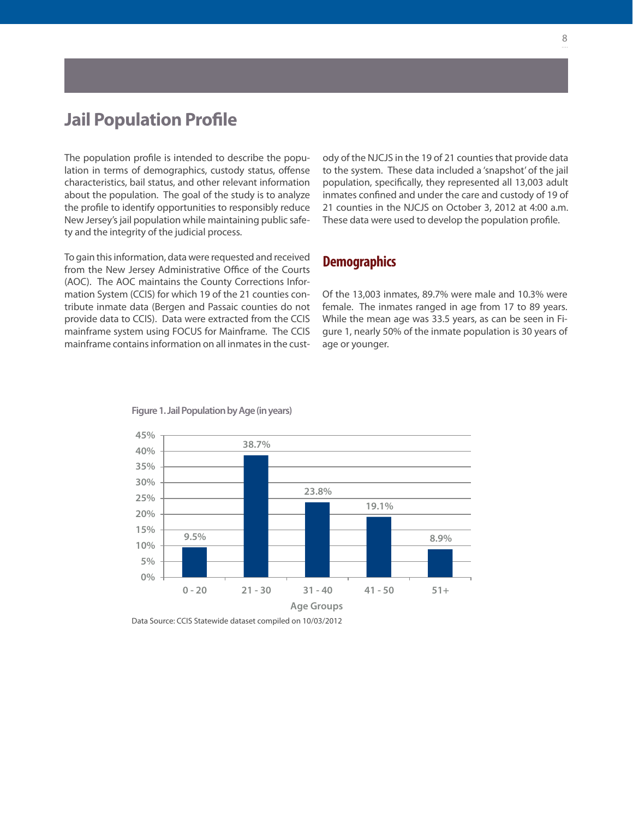### <span id="page-10-0"></span>**Jail Population Profile**

The population profile is intended to describe the population in terms of demographics, custody status, offense characteristics, bail status, and other relevant information about the population. The goal of the study is to analyze the profile to identify opportunities to responsibly reduce New Jersey's jail population while maintaining public safety and the integrity of the judicial process.

To gain this information, data were requested and received from the New Jersey Administrative Office of the Courts (AOC). The AOC maintains the County Corrections Information System (CCIS) for which 19 of the 21 counties contribute inmate data (Bergen and Passaic counties do not provide data to CCIS). Data were extracted from the CCIS mainframe system using FOCUS for Mainframe. The CCIS mainframe contains information on all inmates in the custody of the NJCJS in the 19 of 21 counties that provide data to the system. These data included a 'snapshot' of the jail population, specifically, they represented all 13,003 adult inmates confined and under the care and custody of 19 of 21 counties in the NJCJS on October 3, 2012 at 4:00 a.m. These data were used to develop the population profile.

#### **Demographics**

Of the 13,003 inmates, 89.7% were male and 10.3% were female. The inmates ranged in age from 17 to 89 years. While the mean age was 33.5 years, as can be seen in Figure 1, nearly 50% of the inmate population is 30 years of age or younger.



**Figure 1. Jail Population by Age (in years)**

Data Source: CCIS Statewide dataset compiled on 10/03/2012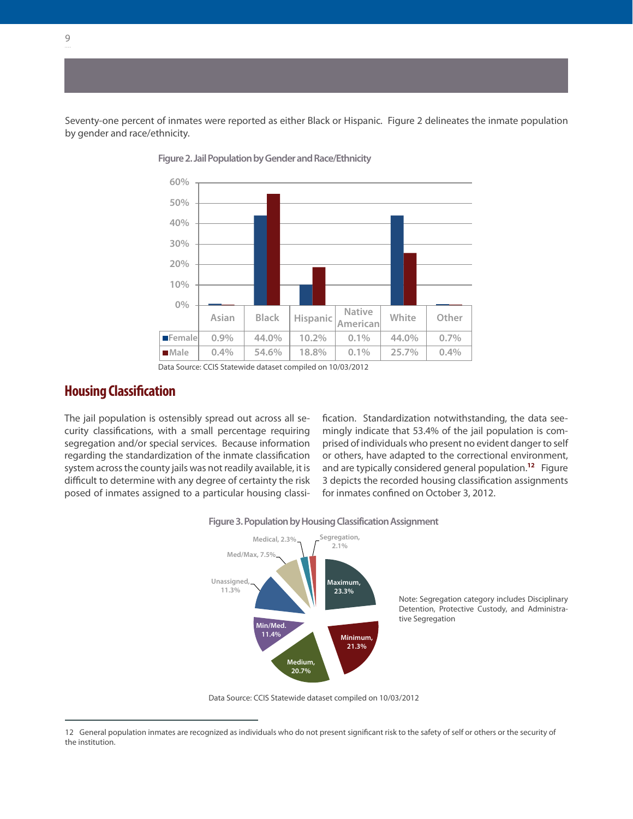<span id="page-11-0"></span>Seventy-one percent of inmates were reported as either Black or Hispanic. Figure 2 delineates the inmate population by gender and race/ethnicity.



**Figure 2. Jail Population by Gender and Race/Ethnicity**

Data Source: CCIS Statewide dataset compiled on 10/03/2012

#### **Housing Classification**

The jail population is ostensibly spread out across all security classifications, with a small percentage requiring segregation and/or special services. Because information regarding the standardization of the inmate classification system across the county jails was not readily available, it is difficult to determine with any degree of certainty the risk posed of inmates assigned to a particular housing classification. Standardization notwithstanding, the data seemingly indicate that 53.4% of the jail population is comprised of individuals who present no evident danger to self or others, have adapted to the correctional environment, and are typically considered general population.**<sup>12</sup>** Figure 3 depicts the recorded housing classification assignments for inmates confined on October 3, 2012.



**Figure 3. Population by Housing Classification Assignment**

Data Source: CCIS Statewide dataset compiled on 10/03/2012

<sup>12</sup> General population inmates are recognized as individuals who do not present significant risk to the safety of self or others or the security of the institution.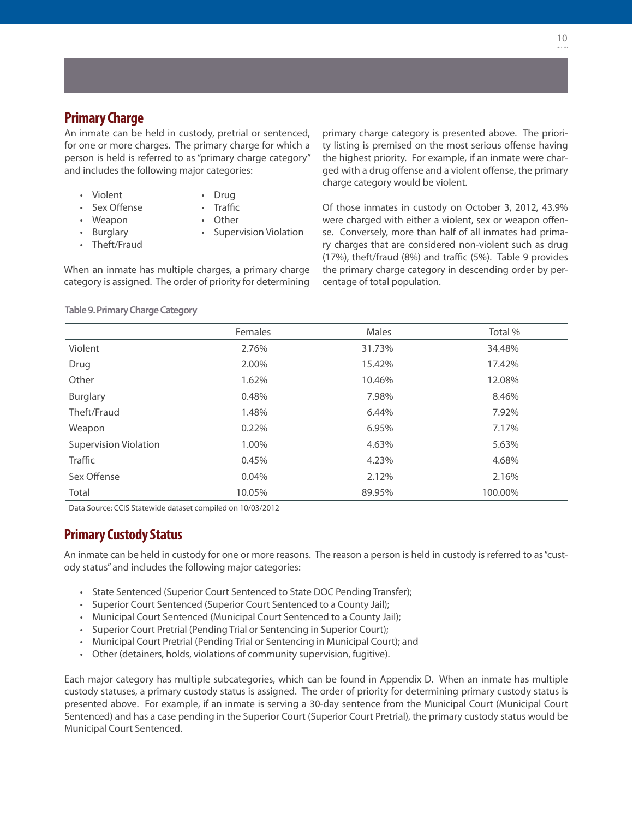#### <span id="page-12-0"></span>**Primary Charge**

An inmate can be held in custody, pretrial or sentenced, for one or more charges. The primary charge for which a person is held is referred to as "primary charge category" and includes the following major categories:

- • Violent
- **Drug** • Traffic
- • Sex Offense
- • Weapon • Burglary
- • Other
- • Supervision Violation
- • Theft/Fraud

When an inmate has multiple charges, a primary charge category is assigned. The order of priority for determining primary charge category is presented above. The priority listing is premised on the most serious offense having the highest priority. For example, if an inmate were charged with a drug offense and a violent offense, the primary charge category would be violent.

Of those inmates in custody on October 3, 2012, 43.9% were charged with either a violent, sex or weapon offense. Conversely, more than half of all inmates had primary charges that are considered non-violent such as drug (17%), theft/fraud (8%) and traffic (5%). Table 9 provides the primary charge category in descending order by percentage of total population.

|                              | <b>Females</b> | Males  | Total % |
|------------------------------|----------------|--------|---------|
| Violent                      | 2.76%          | 31.73% | 34.48%  |
| Drug                         | 2.00%          | 15.42% | 17.42%  |
| Other                        | 1.62%          | 10.46% | 12.08%  |
| Burglary                     | 0.48%          | 7.98%  | 8.46%   |
| Theft/Fraud                  | 1.48%          | 6.44%  | 7.92%   |
| Weapon                       | 0.22%          | 6.95%  | 7.17%   |
| <b>Supervision Violation</b> | 1.00%          | 4.63%  | 5.63%   |
| Traffic                      | 0.45%          | 4.23%  | 4.68%   |
| Sex Offense                  | 0.04%          | 2.12%  | 2.16%   |
| Total                        | 10.05%         | 89.95% | 100.00% |

#### **Primary Custody Status**

An inmate can be held in custody for one or more reasons. The reason a person is held in custody is referred to as "custody status" and includes the following major categories:

- State Sentenced (Superior Court Sentenced to State DOC Pending Transfer);
- Superior Court Sentenced (Superior Court Sentenced to a County Jail);
- Municipal Court Sentenced (Municipal Court Sentenced to a County Jail);
- Superior Court Pretrial (Pending Trial or Sentencing in Superior Court);
- • Municipal Court Pretrial (Pending Trial or Sentencing in Municipal Court); and
- • Other (detainers, holds, violations of community supervision, fugitive).

Each major category has multiple subcategories, which can be found in Appendix D. When an inmate has multiple custody statuses, a primary custody status is assigned. The order of priority for determining primary custody status is presented above. For example, if an inmate is serving a 30-day sentence from the Municipal Court (Municipal Court Sentenced) and has a case pending in the Superior Court (Superior Court Pretrial), the primary custody status would be Municipal Court Sentenced.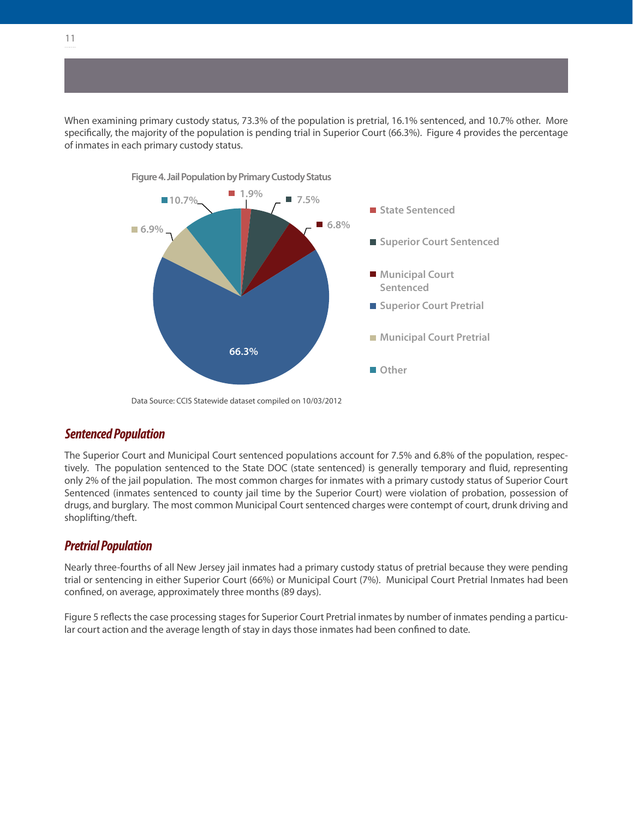<span id="page-13-0"></span>When examining primary custody status, 73.3% of the population is pretrial, 16.1% sentenced, and 10.7% other. More specifically, the majority of the population is pending trial in Superior Court (66.3%). Figure 4 provides the percentage of inmates in each primary custody status.



Data Source: CCIS Statewide dataset compiled on 10/03/2012

#### *Sentenced Population*

The Superior Court and Municipal Court sentenced populations account for 7.5% and 6.8% of the population, respectively. The population sentenced to the State DOC (state sentenced) is generally temporary and fluid, representing only 2% of the jail population. The most common charges for inmates with a primary custody status of Superior Court Sentenced (inmates sentenced to county jail time by the Superior Court) were violation of probation, possession of drugs, and burglary. The most common Municipal Court sentenced charges were contempt of court, drunk driving and shoplifting/theft.

#### *Pretrial Population*

Nearly three-fourths of all New Jersey jail inmates had a primary custody status of pretrial because they were pending trial or sentencing in either Superior Court (66%) or Municipal Court (7%). Municipal Court Pretrial Inmates had been confined, on average, approximately three months (89 days).

Figure 5 reflects the case processing stages for Superior Court Pretrial inmates by number of inmates pending a particular court action and the average length of stay in days those inmates had been confined to date.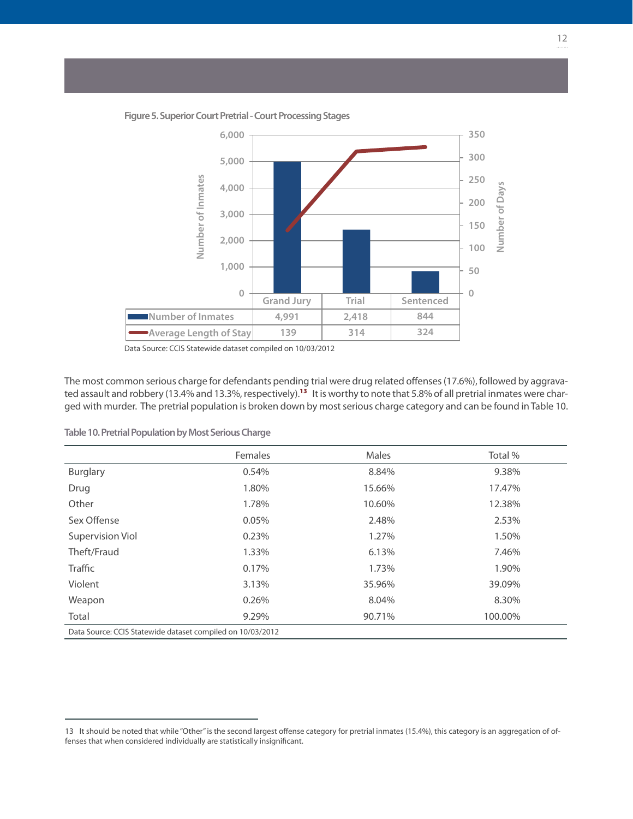

**Figure 5. Superior Court Pretrial - Court Processing Stages**

Data Source: CCIS Statewide dataset compiled on 10/03/2012

The most common serious charge for defendants pending trial were drug related offenses (17.6%), followed by aggravated assault and robbery (13.4% and 13.3%, respectively).**13** It is worthy to note that 5.8% of all pretrial inmates were charged with murder. The pretrial population is broken down by most serious charge category and can be found in Table 10.

**Table 10. Pretrial Population by Most Serious Charge**

|                                                            | Females | Males  | Total % |  |
|------------------------------------------------------------|---------|--------|---------|--|
| Burglary                                                   | 0.54%   | 8.84%  | 9.38%   |  |
| Drug                                                       | 1.80%   | 15.66% | 17.47%  |  |
| Other                                                      | 1.78%   | 10.60% | 12.38%  |  |
| Sex Offense                                                | 0.05%   | 2.48%  | 2.53%   |  |
| <b>Supervision Viol</b>                                    | 0.23%   | 1.27%  | 1.50%   |  |
| Theft/Fraud                                                | 1.33%   | 6.13%  | 7.46%   |  |
| Traffic                                                    | 0.17%   | 1.73%  | 1.90%   |  |
| Violent                                                    | 3.13%   | 35.96% | 39.09%  |  |
| Weapon                                                     | 0.26%   | 8.04%  | 8.30%   |  |
| Total                                                      | 9.29%   | 90.71% | 100.00% |  |
| Data Source: CCIS Statewide dataset compiled on 10/03/2012 |         |        |         |  |

<sup>13</sup> It should be noted that while "Other" is the second largest offense category for pretrial inmates (15.4%), this category is an aggregation of offenses that when considered individually are statistically insignificant.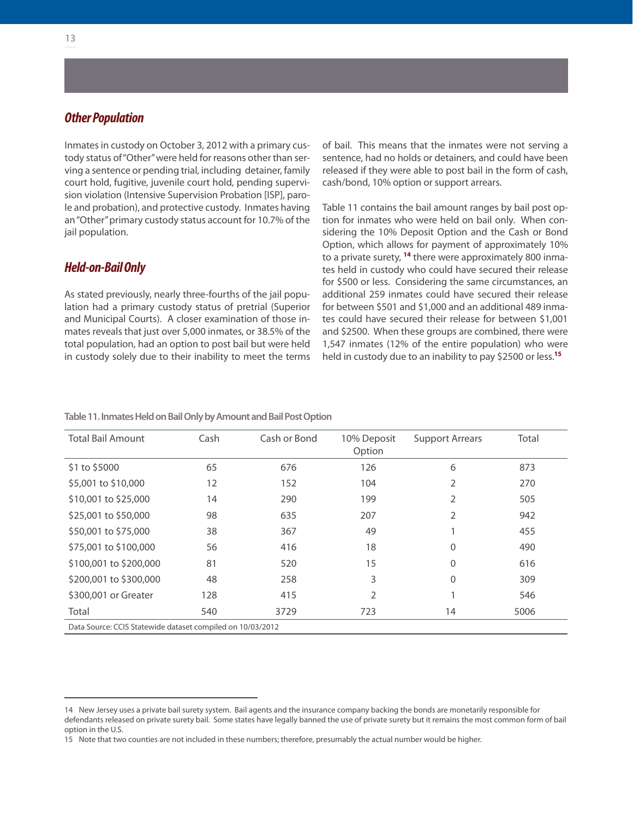#### <span id="page-15-0"></span>*Other Population*

Inmates in custody on October 3, 2012 with a primary custody status of "Other" were held for reasons other than serving a sentence or pending trial, including detainer, family court hold, fugitive, juvenile court hold, pending supervision violation (Intensive Supervision Probation [ISP], parole and probation), and protective custody. Inmates having an "Other" primary custody status account for 10.7% of the jail population.

#### *Held-on-Bail Only*

As stated previously, nearly three-fourths of the jail population had a primary custody status of pretrial (Superior and Municipal Courts). A closer examination of those inmates reveals that just over 5,000 inmates, or 38.5% of the total population, had an option to post bail but were held in custody solely due to their inability to meet the terms of bail. This means that the inmates were not serving a sentence, had no holds or detainers, and could have been released if they were able to post bail in the form of cash, cash/bond, 10% option or support arrears.

Table 11 contains the bail amount ranges by bail post option for inmates who were held on bail only. When considering the 10% Deposit Option and the Cash or Bond Option, which allows for payment of approximately 10% to a private surety, **14** there were approximately 800 inmates held in custody who could have secured their release for \$500 or less. Considering the same circumstances, an additional 259 inmates could have secured their release for between \$501 and \$1,000 and an additional 489 inmates could have secured their release for between \$1,001 and \$2500. When these groups are combined, there were 1,547 inmates (12% of the entire population) who were held in custody due to an inability to pay \$2500 or less.**<sup>15</sup>**

| <b>Total Bail Amount</b>                                   | Cash | Cash or Bond | 10% Deposit<br>Option | <b>Support Arrears</b> | Total |
|------------------------------------------------------------|------|--------------|-----------------------|------------------------|-------|
| \$1 to \$5000                                              | 65   | 676          | 126                   | 6                      | 873   |
| \$5,001 to \$10,000                                        | 12   | 152          | 104                   | 2                      | 270   |
| \$10,001 to \$25,000                                       | 14   | 290          | 199                   | 2                      | 505   |
| \$25,001 to \$50,000                                       | 98   | 635          | 207                   | 2                      | 942   |
| \$50,001 to \$75,000                                       | 38   | 367          | 49                    |                        | 455   |
| \$75,001 to \$100,000                                      | 56   | 416          | 18                    | 0                      | 490   |
| \$100,001 to \$200,000                                     | 81   | 520          | 15                    | 0                      | 616   |
| \$200,001 to \$300,000                                     | 48   | 258          | 3                     | 0                      | 309   |
| \$300,001 or Greater                                       | 128  | 415          | 2                     |                        | 546   |
| Total                                                      | 540  | 3729         | 723                   | 14                     | 5006  |
| Data Source: CCIS Statewide dataset compiled on 10/03/2012 |      |              |                       |                        |       |

<sup>14</sup> New Jersey uses a private bail surety system. Bail agents and the insurance company backing the bonds are monetarily responsible for defendants released on private surety bail. Some states have legally banned the use of private surety but it remains the most common form of bail option in the U.S.

<sup>15</sup> Note that two counties are not included in these numbers; therefore, presumably the actual number would be higher.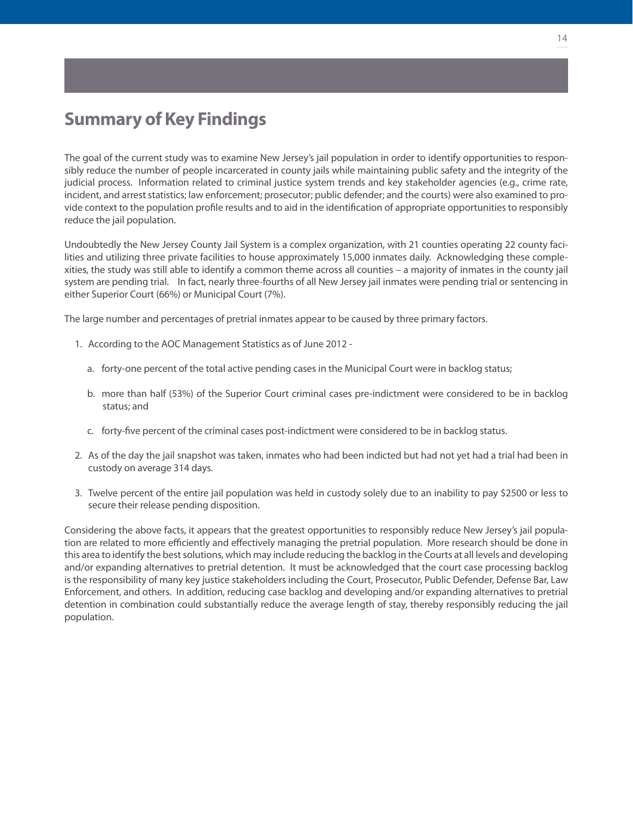### <span id="page-16-0"></span>**Summary of Key Findings**

The goal of the current study was to examine New Jersey's jail population in order to identify opportunities to responsibly reduce the number of people incarcerated in county jails while maintaining public safety and the integrity of the judicial process. Information related to criminal justice system trends and key stakeholder agencies (e.g., crime rate, incident, and arrest statistics; law enforcement; prosecutor; public defender; and the courts) were also examined to provide context to the population profile results and to aid in the identification of appropriate opportunities to responsibly reduce the jail population.

Undoubtedly the New Jersey County Jail System is a complex organization, with 21 counties operating 22 county facilities and utilizing three private facilities to house approximately 15,000 inmates daily. Acknowledging these complexities, the study was still able to identify a common theme across all counties – a majority of inmates in the county jail system are pending trial. In fact, nearly three-fourths of all New Jersey jail inmates were pending trial or sentencing in either Superior Court (66%) or Municipal Court (7%).

The large number and percentages of pretrial inmates appear to be caused by three primary factors.

- 1. According to the AOC Management Statistics as of June 2012
	- a. forty-one percent of the total active pending cases in the Municipal Court were in backlog status;
	- b. more than half (53%) of the Superior Court criminal cases pre-indictment were considered to be in backlog status; and
	- c. forty-five percent of the criminal cases post-indictment were considered to be in backlog status.
- 2. As of the day the jail snapshot was taken, inmates who had been indicted but had not yet had a trial had been in custody on average 314 days.
- 3. Twelve percent of the entire jail population was held in custody solely due to an inability to pay \$2500 or less to secure their release pending disposition.

Considering the above facts, it appears that the greatest opportunities to responsibly reduce New Jersey's jail population are related to more efficiently and effectively managing the pretrial population. More research should be done in this area to identify the best solutions, which may include reducing the backlog in the Courts at all levels and developing and/or expanding alternatives to pretrial detention. It must be acknowledged that the court case processing backlog is the responsibility of many key justice stakeholders including the Court, Prosecutor, Public Defender, Defense Bar, Law Enforcement, and others. In addition, reducing case backlog and developing and/or expanding alternatives to pretrial detention in combination could substantially reduce the average length of stay, thereby responsibly reducing the jail population.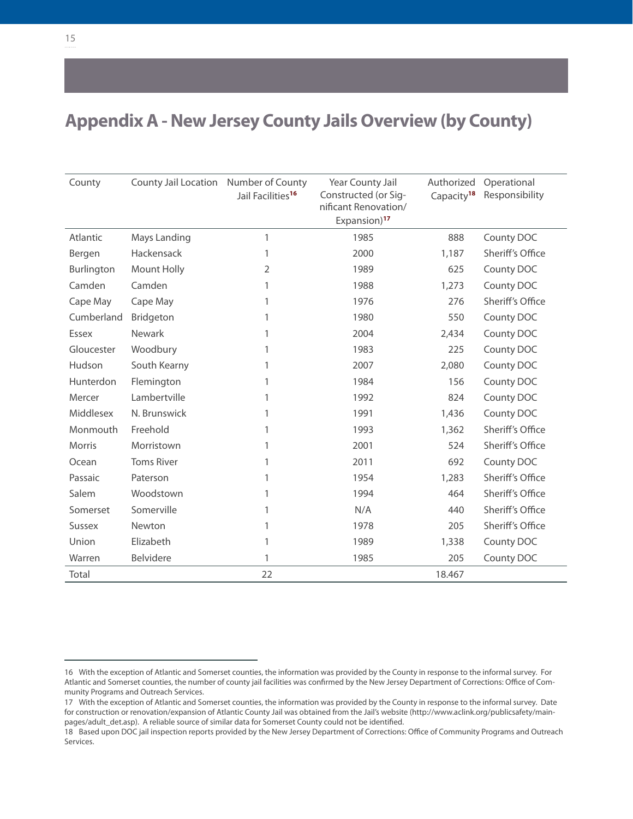### <span id="page-17-0"></span>**Appendix A - New Jersey County Jails Overview (by County)**

| County     | County Jail Location | Number of County<br>Jail Facilities <sup>16</sup> | Year County Jail<br>Constructed (or Sig-<br>nificant Renovation/<br>Expansion) <sup>17</sup> | Authorized<br>Capacity <sup>18</sup> | Operational<br>Responsibility |
|------------|----------------------|---------------------------------------------------|----------------------------------------------------------------------------------------------|--------------------------------------|-------------------------------|
| Atlantic   | Mays Landing         | 1                                                 | 1985                                                                                         | 888                                  | County DOC                    |
| Bergen     | Hackensack           | 1                                                 | 2000                                                                                         | 1,187                                | Sheriff's Office              |
| Burlington | <b>Mount Holly</b>   | 2                                                 | 1989                                                                                         | 625                                  | County DOC                    |
| Camden     | Camden               | 1                                                 | 1988                                                                                         | 1,273                                | County DOC                    |
| Cape May   | Cape May             | 1                                                 | 1976                                                                                         | 276                                  | Sheriff's Office              |
| Cumberland | Bridgeton            | 1.                                                | 1980                                                                                         | 550                                  | County DOC                    |
| Essex      | <b>Newark</b>        | 1                                                 | 2004                                                                                         | 2,434                                | County DOC                    |
| Gloucester | Woodbury             | 1                                                 | 1983                                                                                         | 225                                  | County DOC                    |
| Hudson     | South Kearny         | 1                                                 | 2007                                                                                         | 2,080                                | County DOC                    |
| Hunterdon  | Flemington           | 1                                                 | 1984                                                                                         | 156                                  | County DOC                    |
| Mercer     | Lambertville         |                                                   | 1992                                                                                         | 824                                  | County DOC                    |
| Middlesex  | N. Brunswick         |                                                   | 1991                                                                                         | 1,436                                | County DOC                    |
| Monmouth   | Freehold             | 1                                                 | 1993                                                                                         | 1,362                                | Sheriff's Office              |
| Morris     | Morristown           | 1                                                 | 2001                                                                                         | 524                                  | Sheriff's Office              |
| Ocean      | <b>Toms River</b>    | 1.                                                | 2011                                                                                         | 692                                  | County DOC                    |
| Passaic    | Paterson             | 1                                                 | 1954                                                                                         | 1,283                                | Sheriff's Office              |
| Salem      | Woodstown            | 1                                                 | 1994                                                                                         | 464                                  | Sheriff's Office              |
| Somerset   | Somerville           | 1                                                 | N/A                                                                                          | 440                                  | Sheriff's Office              |
| Sussex     | Newton               | 1                                                 | 1978                                                                                         | 205                                  | Sheriff's Office              |
| Union      | Elizabeth            | 1                                                 | 1989                                                                                         | 1,338                                | County DOC                    |
| Warren     | <b>Belvidere</b>     | 1                                                 | 1985                                                                                         | 205                                  | County DOC                    |
| Total      |                      | 22                                                |                                                                                              | 18.467                               |                               |

<sup>16</sup> With the exception of Atlantic and Somerset counties, the information was provided by the County in response to the informal survey. For Atlantic and Somerset counties, the number of county jail facilities was confirmed by the New Jersey Department of Corrections: Office of Community Programs and Outreach Services.

<sup>17</sup> With the exception of Atlantic and Somerset counties, the information was provided by the County in response to the informal survey. Date for construction or renovation/expansion of Atlantic County Jail was obtained from the Jail's website (http://www.aclink.org/publicsafety/mainpages/adult\_det.asp). A reliable source of similar data for Somerset County could not be identified.

<sup>18</sup> Based upon DOC jail inspection reports provided by the New Jersey Department of Corrections: Office of Community Programs and Outreach Services.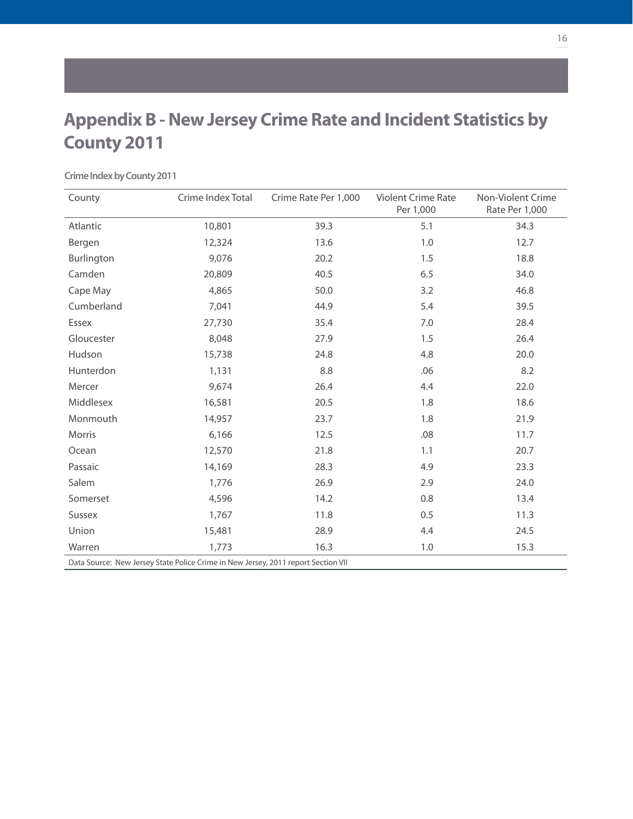## <span id="page-18-0"></span>**Appendix B - New Jersey Crime Rate and Incident Statistics by County 2011**

#### **Crime Index by County 2011**

| County                                                                           | Crime Index Total | Crime Rate Per 1,000 | <b>Violent Crime Rate</b><br>Per 1,000 | Non-Violent Crime<br>Rate Per 1,000 |
|----------------------------------------------------------------------------------|-------------------|----------------------|----------------------------------------|-------------------------------------|
| Atlantic                                                                         | 10,801            | 39.3                 | 5.1                                    | 34.3                                |
| Bergen                                                                           | 12,324            | 13.6                 | 1.0                                    | 12.7                                |
| Burlington                                                                       | 9,076             | 20.2                 | 1.5                                    | 18.8                                |
| Camden                                                                           | 20,809            | 40.5                 | 6.5                                    | 34.0                                |
| Cape May                                                                         | 4,865             | 50.0                 | 3.2                                    | 46.8                                |
| Cumberland                                                                       | 7,041             | 44.9                 | 5.4                                    | 39.5                                |
| Essex                                                                            | 27,730            | 35.4                 | 7.0                                    | 28.4                                |
| Gloucester                                                                       | 8,048             | 27.9                 | 1.5                                    | 26.4                                |
| Hudson                                                                           | 15,738            | 24.8                 | 4.8                                    | 20.0                                |
| Hunterdon                                                                        | 1,131             | 8.8                  | .06                                    | 8.2                                 |
| Mercer                                                                           | 9,674             | 26.4                 | 4.4                                    | 22.0                                |
| Middlesex                                                                        | 16,581            | 20.5                 | 1.8                                    | 18.6                                |
| Monmouth                                                                         | 14,957            | 23.7                 | 1.8                                    | 21.9                                |
| Morris                                                                           | 6,166             | 12.5                 | .08                                    | 11.7                                |
| Ocean                                                                            | 12,570            | 21.8                 | 1.1                                    | 20.7                                |
| Passaic                                                                          | 14,169            | 28.3                 | 4.9                                    | 23.3                                |
| Salem                                                                            | 1,776             | 26.9                 | 2.9                                    | 24.0                                |
| Somerset                                                                         | 4,596             | 14.2                 | 0.8                                    | 13.4                                |
| Sussex                                                                           | 1,767             | 11.8                 | 0.5                                    | 11.3                                |
| Union                                                                            | 15,481            | 28.9                 | 4.4                                    | 24.5                                |
| Warren                                                                           | 1,773             | 16.3                 | 1.0                                    | 15.3                                |
| Data Source: New Jersey State Police Crime in New Jersey 2011 report Section VII |                   |                      |                                        |                                     |

Data Source: New Jersey State Police Crime in New Jersey, 2011 report Section VII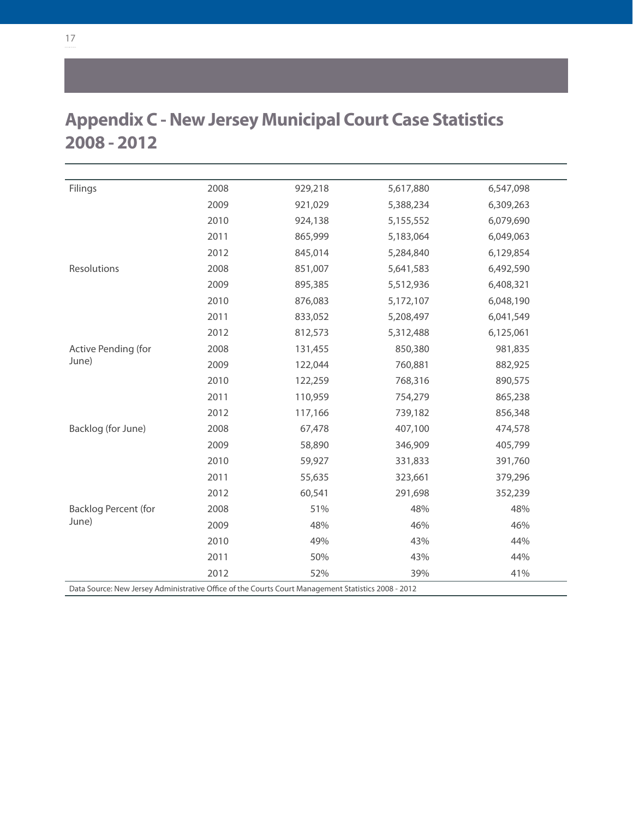# <span id="page-19-0"></span>**Appendix C - New Jersey Municipal Court Case Statistics 2008 - 2012**

| Filings                                                                                             | 2008 | 929,218 | 5,617,880 | 6,547,098 |
|-----------------------------------------------------------------------------------------------------|------|---------|-----------|-----------|
|                                                                                                     | 2009 | 921,029 | 5,388,234 | 6,309,263 |
|                                                                                                     | 2010 | 924,138 | 5,155,552 | 6,079,690 |
|                                                                                                     | 2011 | 865,999 | 5,183,064 | 6,049,063 |
|                                                                                                     | 2012 | 845,014 | 5,284,840 | 6,129,854 |
| Resolutions                                                                                         | 2008 | 851,007 | 5,641,583 | 6,492,590 |
|                                                                                                     | 2009 | 895,385 | 5,512,936 | 6,408,321 |
|                                                                                                     | 2010 | 876,083 | 5,172,107 | 6,048,190 |
|                                                                                                     | 2011 | 833,052 | 5,208,497 | 6,041,549 |
|                                                                                                     | 2012 | 812,573 | 5,312,488 | 6,125,061 |
| Active Pending (for                                                                                 | 2008 | 131,455 | 850,380   | 981,835   |
| June)                                                                                               | 2009 | 122,044 | 760,881   | 882,925   |
|                                                                                                     | 2010 | 122,259 | 768,316   | 890,575   |
|                                                                                                     | 2011 | 110,959 | 754,279   | 865,238   |
|                                                                                                     | 2012 | 117,166 | 739,182   | 856,348   |
| Backlog (for June)                                                                                  | 2008 | 67,478  | 407,100   | 474,578   |
|                                                                                                     | 2009 | 58,890  | 346,909   | 405,799   |
|                                                                                                     | 2010 | 59,927  | 331,833   | 391,760   |
|                                                                                                     | 2011 | 55,635  | 323,661   | 379,296   |
|                                                                                                     | 2012 | 60,541  | 291,698   | 352,239   |
| <b>Backlog Percent (for</b><br>June)                                                                | 2008 | 51%     | 48%       | 48%       |
|                                                                                                     | 2009 | 48%     | 46%       | 46%       |
|                                                                                                     | 2010 | 49%     | 43%       | 44%       |
|                                                                                                     | 2011 | 50%     | 43%       | 44%       |
|                                                                                                     | 2012 | 52%     | 39%       | 41%       |
| Data Source: New Jersey Administrative Office of the Courts Court Management Statistics 2008 - 2012 |      |         |           |           |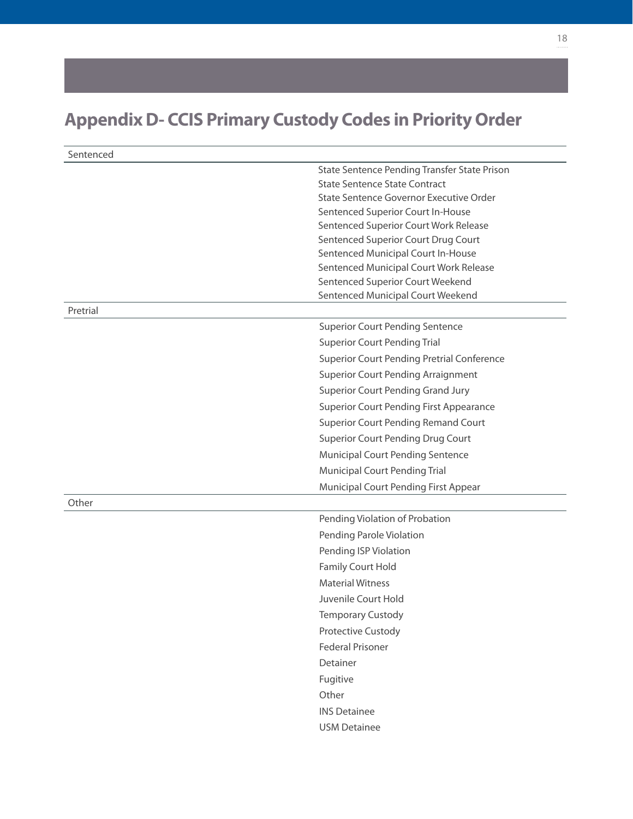# <span id="page-20-0"></span>**Appendix D- CCIS Primary Custody Codes in Priority Order**

| Sentenced |                                                   |
|-----------|---------------------------------------------------|
|           | State Sentence Pending Transfer State Prison      |
|           | <b>State Sentence State Contract</b>              |
|           | State Sentence Governor Executive Order           |
|           | Sentenced Superior Court In-House                 |
|           | Sentenced Superior Court Work Release             |
|           | Sentenced Superior Court Drug Court               |
|           | Sentenced Municipal Court In-House                |
|           | Sentenced Municipal Court Work Release            |
|           | Sentenced Superior Court Weekend                  |
|           | Sentenced Municipal Court Weekend                 |
| Pretrial  |                                                   |
|           | <b>Superior Court Pending Sentence</b>            |
|           | <b>Superior Court Pending Trial</b>               |
|           | <b>Superior Court Pending Pretrial Conference</b> |
|           | <b>Superior Court Pending Arraignment</b>         |
|           | Superior Court Pending Grand Jury                 |
|           | <b>Superior Court Pending First Appearance</b>    |
|           | <b>Superior Court Pending Remand Court</b>        |
|           | <b>Superior Court Pending Drug Court</b>          |
|           | Municipal Court Pending Sentence                  |
|           | <b>Municipal Court Pending Trial</b>              |
|           | Municipal Court Pending First Appear              |
| Other     |                                                   |
|           | Pending Violation of Probation                    |
|           | Pending Parole Violation                          |
|           | Pending ISP Violation                             |
|           | Family Court Hold                                 |
|           | <b>Material Witness</b>                           |
|           | Juvenile Court Hold                               |
|           | <b>Temporary Custody</b>                          |
|           | Protective Custody                                |
|           | <b>Federal Prisoner</b>                           |
|           | Detainer                                          |
|           | Fugitive                                          |
|           | Other                                             |
|           | <b>INS Detainee</b>                               |
|           | <b>USM Detainee</b>                               |
|           |                                                   |